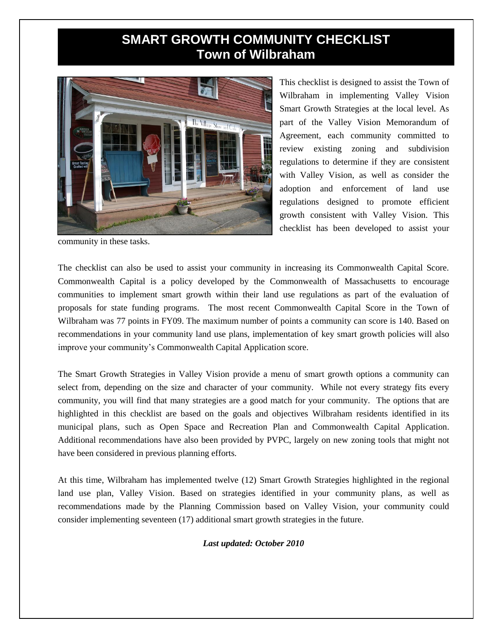## **SMART GROWTH COMMUNITY CHECKLIST Town of Wilbraham**



This checklist is designed to assist the Town of Wilbraham in implementing Valley Vision Smart Growth Strategies at the local level. As part of the Valley Vision Memorandum of Agreement, each community committed to review existing zoning and subdivision regulations to determine if they are consistent with Valley Vision, as well as consider the adoption and enforcement of land use regulations designed to promote efficient growth consistent with Valley Vision. This checklist has been developed to assist your

community in these tasks.

The checklist can also be used to assist your community in increasing its Commonwealth Capital Score. Commonwealth Capital is a policy developed by the Commonwealth of Massachusetts to encourage communities to implement smart growth within their land use regulations as part of the evaluation of proposals for state funding programs. The most recent Commonwealth Capital Score in the Town of Wilbraham was 77 points in FY09. The maximum number of points a community can score is 140. Based on recommendations in your community land use plans, implementation of key smart growth policies will also improve your community's Commonwealth Capital Application score.

The Smart Growth Strategies in Valley Vision provide a menu of smart growth options a community can select from, depending on the size and character of your community. While not every strategy fits every community, you will find that many strategies are a good match for your community. The options that are highlighted in this checklist are based on the goals and objectives Wilbraham residents identified in its municipal plans, such as Open Space and Recreation Plan and Commonwealth Capital Application. Additional recommendations have also been provided by PVPC, largely on new zoning tools that might not have been considered in previous planning efforts.

At this time, Wilbraham has implemented twelve (12) Smart Growth Strategies highlighted in the regional land use plan, Valley Vision. Based on strategies identified in your community plans, as well as recommendations made by the Planning Commission based on Valley Vision, your community could consider implementing seventeen (17) additional smart growth strategies in the future.

*Last updated: October 2010*